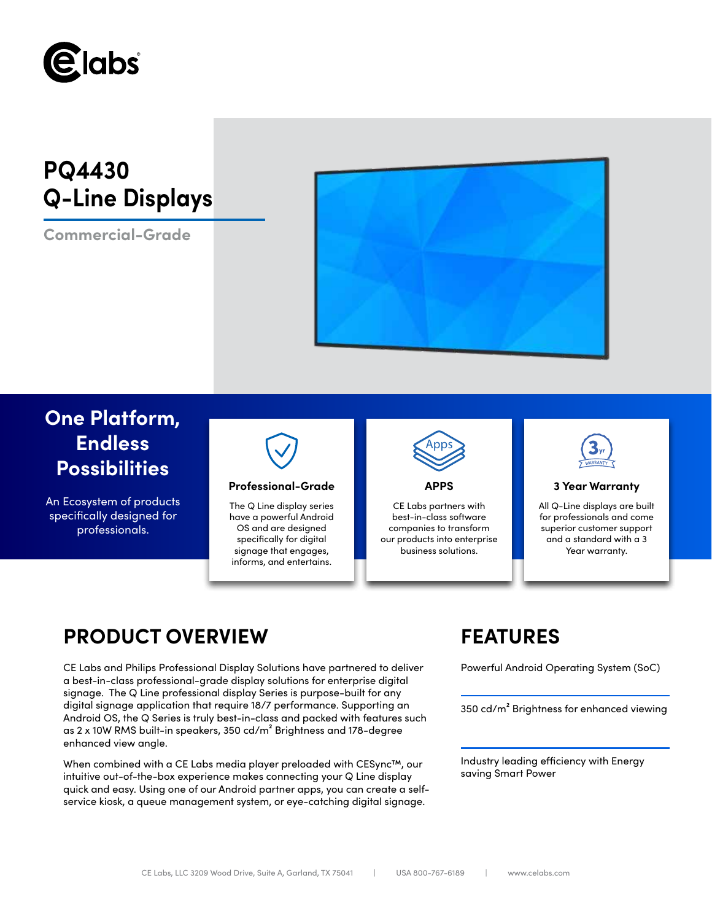

# **PQ4430 Q-Line Displays**

**Commercial-Grade**



## **One Platform, Endless Possibilities**

An Ecosystem of products specifically designed for professionals.



### **Professional-Grade APPS 3 Year Warranty**

The Q Line display series have a powerful Android OS and are designed specifically for digital signage that engages, informs, and entertains.



CE Labs partners with best-in-class software companies to transform our products into enterprise business solutions.



All Q-Line displays are built for professionals and come superior customer support and a standard with a 3 Year warranty.

## **PRODUCT OVERVIEW FEATURES**

CE Labs and Philips Professional Display Solutions have partnered to deliver Powerful Android Operating System (SoC) a best-in-class professional-grade display solutions for enterprise digital signage. The Q Line professional display Series is purpose-built for any digital signage application that require 18/7 performance. Supporting an Android OS, the Q Series is truly best-in-class and packed with features such as 2 x 10W RMS built-in speakers, 350 cd/m² Brightness and 178-degree enhanced view angle.

When combined with a CE Labs media player preloaded with CESync™, our intuitive out-of-the-box experience makes connecting your Q Line display quick and easy. Using one of our Android partner apps, you can create a selfservice kiosk, a queue management system, or eye-catching digital signage.

350 cd/m² Brightness for enhanced viewing

Industry leading efficiency with Energy saving Smart Power